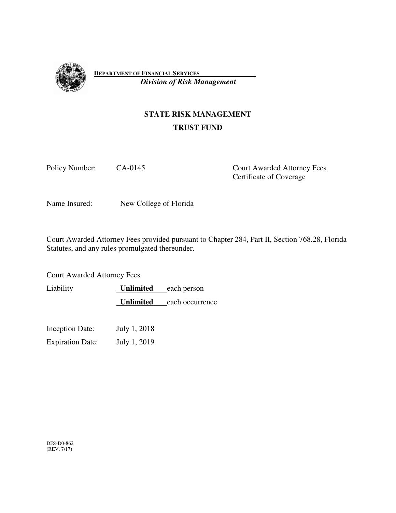

**DEPARTMENT OF FINANCIAL SERVICES**   *Division of Risk Management*

# **STATE RISK MANAGEMENT TRUST FUND**

Policy Number: CA-0145 Court Awarded Attorney Fees Certificate of Coverage

Name Insured: New College of Florida

Court Awarded Attorney Fees provided pursuant to Chapter 284, Part II, Section 768.28, Florida Statutes, and any rules promulgated thereunder.

Court Awarded Attorney Fees

Liability **Unlimited** each person **Unlimited** each occurrence

Inception Date: July 1, 2018

Expiration Date: July 1, 2019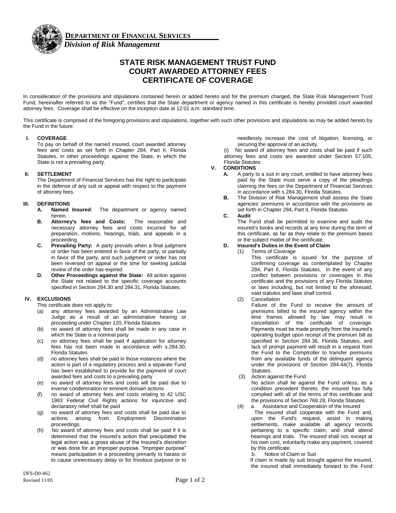

## **STATE RISK MANAGEMENT TRUST FUND COURT AWARDED ATTORNEY FEES CERTIFICATE OF COVERAGE**

In consideration of the provisions and stipulations contained herein or added hereto and for the premium charged, the State Risk Management Trust Fund, hereinafter referred to as the "Fund", certifies that the State department or agency named in this certificate is hereby provided court awarded attorney fees. Coverage shall be effective on the inception date at 12:01 a.m. standard time.

This certificate is comprised of the foregoing provisions and stipulations, together with such other provisions and stipulations as may be added hereto by the Fund in the future:

#### **I. COVERAGE**

To pay on behalf of the named insured, court awarded attorney fees and costs as set forth in Chapter 284, Part II, Florida Statutes, in other proceedings against the State, in which the State is not a prevailing party.

#### **II. SETTLEMENT**

The Department of Financial Services has the right to participate in the defense of any suit or appeal with respect to the payment of attorney fees.

#### **III. DEFINITIONS**

- **A. Named Insured**: The department or agency named herein.
- **B. Attorney's fees and Costs:** The reasonable and necessary attorney fees and costs incurred for all preparation, motions, hearings, trials, and appeals in a proceeding.
- **C. Prevailing Party:** A party prevails when a final judgment or order has been entered in favor of the party, or partially in favor of the party, and such judgment or order has not been reversed on appeal or the time for seeking judicial review of the order has expired.
- **D. Other Proceedings against the State:** All action against the State not related to the specific coverage accounts specified in Section 284.30 and 284.31, Florida Statutes.

#### **IV. EXCLUSIONS**

- This certificate does not apply to:
- (a) any attorney fees awarded by an Administrative Law Judge as a result of an administrative hearing or proceeding under Chapter 120, Florida Statutes
- (b) no award of attorney fees shall be made in any case in which the State is a nominal party
- (c) no attorney fees shall be paid if application for attorney fees has not been made in accordance with s.284.30, Florida Statutes
- (d) no attorney fees shall be paid in those instances where the action is part of a regulatory process and a separate Fund has been established to provide for the payment of court awarded fees and costs to a prevailing party
- (e) no award of attorney fees and costs will be paid due to inverse condemnation or eminent domain actions
- (f) no award of attorney fees and costs relating to 42 USC 1983 Federal Civil Rights actions for injunctive and declaratory relief shall be paid
- (g) no award of attorney fees and costs shall be paid due to actions arising from Employment Discrimination proceedings.
- (h) No award of attorney fees and costs shall be paid if it is determined that the Insured's action that precipitated the legal action was a gross abuse of the Insured's discretion or was done for an improper purpose. "Improper purpose" means participation in a proceeding primarily to harass or to cause unnecessary delay or for frivolous purpose or to

needlessly increase the cost of litigation, licensing, or securing the approval of an activity.

No award of attorney fees and costs shall be paid if such attorney fees and costs are awarded under Section 57.105, Florida Statutes.

#### **V. CONDITIONS**

- **A.** A party to a suit in any court, entitled to have attorney fees paid by the State must serve a copy of the pleadings claiming the fees on the Department of Financial Services in accordance with s.284.30, Florida Statutes.
- **B.** The Division of Risk Management shall assess the State agencies' premiums in accordance with the provisions as set forth in Chapter 284, Part II, Florida Statutes.

#### **C. Audit**

The Fund shall be permitted to examine and audit the insured's books and records at any time during the term of this certificate, as far as they relate to the premium bases or the subject matter of the certificate.

#### **D. Insured's Duties in the Event of Claim**

(1) Terms of Coverage

This certificate is issued for the purpose of confirming coverage as contemplated by Chapter 284, Part II, Florida Statutes. In the event of any conflict between provisions or coverages in this certificate and the provisions of any Florida Statutes or laws including, but not limited to the aforesaid, said statutes and laws shall control.

(2) Cancellation

Failure of the Fund to receive the amount of premiums billed to the insured agency within the time frames allowed by law may result in cancellation of the certificate of coverage. Payments must be made promptly from the insured's operating budget upon receipt of the premium bill as specified in Section 284.36, Florida Statutes, and lack of prompt payment will result in a request from the Fund to the Comptroller to transfer premiums from any available funds of the delinquent agency under the provisions of Section 284.44(7), Florida Statutes.

- (3) Action against the Fund No action shall lie against the Fund unless, as a condition precedent thereto, the insured has fully complied with all of the terms of this certificate and the provisions of Section 768.28, Florida Statutes.
- (4) a. Assistance and Cooperation of the Insured

 The insured shall cooperate with the Fund and, upon the Fund's request, assist in making settlements, make available all agency records pertaining to a specific claim, and shall attend hearings and trials. The insured shall not, except at his own cost, voluntarily make any payment, covered by this certificate.

b. Notice of Claim or Suit

If claim is made by suit brought against the insured, the insured shall immediately forward to the Fund